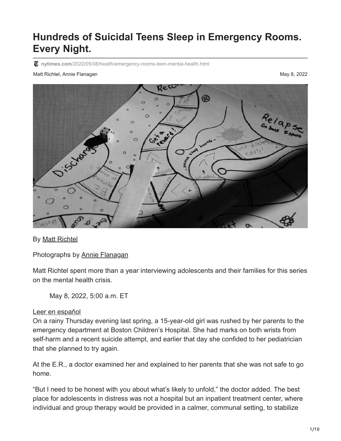# **Hundreds of Suicidal Teens Sleep in Emergency Rooms. Every Night.**

**nytimes.com**[/2022/05/08/health/emergency-rooms-teen-mental-health.html](https://www.nytimes.com/2022/05/08/health/emergency-rooms-teen-mental-health.html)

#### Matt Richtel, Annie Flanagan May 8, 2022



By [Matt Richtel](https://www.nytimes.com/by/matt-richtel)

Photographs by [Annie Flanagan](https://www.nytimes.com/by/annie-flanagan)

Matt Richtel spent more than a year interviewing adolescents and their families for this series on the mental health crisis.

May 8, 2022, 5:00 a.m. ET

### [Leer en español](https://www.nytimes.com/es/2022/05/08/espanol/cientos-de-adolescentes-suicidas-duermen-en-urgencias-cada-noche.html)

On a rainy Thursday evening last spring, a 15-year-old girl was rushed by her parents to the emergency department at Boston Children's Hospital. She had marks on both wrists from self-harm and a recent suicide attempt, and earlier that day she confided to her pediatrician that she planned to try again.

At the E.R., a doctor examined her and explained to her parents that she was not safe to go home.

"But I need to be honest with you about what's likely to unfold," the doctor added. The best place for adolescents in distress was not a hospital but an inpatient treatment center, where individual and group therapy would be provided in a calmer, communal setting, to stabilize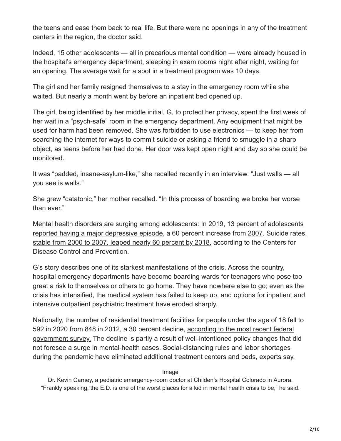the teens and ease them back to real life. But there were no openings in any of the treatment centers in the region, the doctor said.

Indeed, 15 other adolescents — all in precarious mental condition — were already housed in the hospital's emergency department, sleeping in exam rooms night after night, waiting for an opening. The average wait for a spot in a treatment program was 10 days.

The girl and her family resigned themselves to a stay in the emergency room while she waited. But nearly a month went by before an inpatient bed opened up.

The girl, being identified by her middle initial, G, to protect her privacy, spent the first week of her wait in a "psych-safe" room in the emergency department. Any equipment that might be used for harm had been removed. She was forbidden to use electronics — to keep her from searching the internet for ways to commit suicide or asking a friend to smuggle in a sharp object, as teens before her had done. Her door was kept open night and day so she could be monitored.

It was "padded, insane-asylum-like," she recalled recently in an interview. "Just walls — all you see is walls."

She grew "catatonic," her mother recalled. "In this process of boarding we broke her worse than ever."

[Mental health disorders](https://mchb.hrsa.gov/sites/default/files/mchb/data-research/nsch-data-brief-2019-mental-bh.pdf) [are surging among adolescents](https://www.nytimes.com/2022/04/23/health/mental-health-crisis-teens.html)[: In 2019, 13 percent of adolescents](https://mchb.hrsa.gov/sites/default/files/mchb/data-research/nsch-data-brief-2019-mental-bh.pdf) reported having a major depressive episode, a 60 percent increase from [2007.](https://www.pewresearch.org/fact-tank/2019/07/12/a-growing-number-of-american-teenagers-particularly-girls-are-facing-depression/#:~:text=In%202017%2C%2013%25%20of%20U.S.,on%20Drug%20Use%20and%20Health.) Suicide rates, [stable from 2000 to 2007, leaped nearly 60 percent by 2018,](https://www.cdc.gov/nchs/data/nvsr/nvsr69/nvsr-69-11-508.pdf) according to the Centers for Disease Control and Prevention.

G's story describes one of its starkest manifestations of the crisis. Across the country, hospital emergency departments have become boarding wards for teenagers who pose too great a risk to themselves or others to go home. They have nowhere else to go; even as the crisis has intensified, the medical system has failed to keep up, and options for inpatient and intensive outpatient psychiatric treatment have eroded sharply.

Nationally, the number of residential treatment facilities for people under the age of 18 fell to [592 in 2020 from 848 in 2012, a 30 percent decline, according to the most recent federal](https://www.samhsa.gov/data/sites/default/files/reports/rpt35336/2020_NMHSS_final.pdf) government survey. The decline is partly a result of well-intentioned policy changes that did not foresee a surge in mental-health cases. Social-distancing rules and labor shortages during the pandemic have eliminated additional treatment centers and beds, experts say.

#### Image

Dr. Kevin Carney, a pediatric emergency-room doctor at Childen's Hospital Colorado in Aurora. "Frankly speaking, the E.D. is one of the worst places for a kid in mental health crisis to be," he said.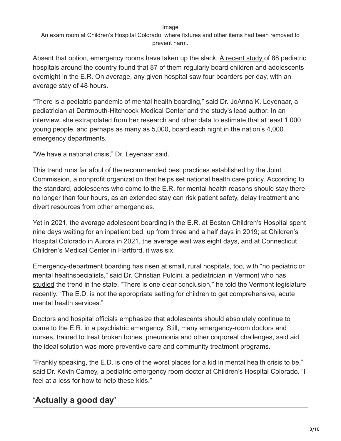Image

An exam room at Children's Hospital Colorado, where fixtures and other items had been removed to prevent harm.

Absent that option, emergency rooms have taken up the slack. [A recent study o](https://jamanetwork.com/journals/jama/fullarticle/2786569)f 88 pediatric hospitals around the country found that 87 of them regularly board children and adolescents overnight in the E.R. On average, any given hospital saw four boarders per day, with an average stay of 48 hours.

"There is a pediatric pandemic of mental health boarding," said Dr. JoAnna K. Leyenaar, a pediatrician at Dartmouth-Hitchcock Medical Center and the study's lead author. In an interview, she extrapolated from her research and other data to estimate that at least 1,000 young people, and perhaps as many as 5,000, board each night in the nation's 4,000 emergency departments.

"We have a national crisis," Dr. Leyenaar said.

This trend runs far afoul of the recommended best practices established by the Joint Commission, a nonprofit organization that helps set national health care policy. According to the standard, adolescents who come to the E.R. for mental health reasons should stay there no longer than four hours, as an extended stay can risk patient safety, delay treatment and divert resources from other emergencies.

Yet in 2021, the average adolescent boarding in the E.R. at Boston Children's Hospital spent nine days waiting for an inpatient bed, up from three and a half days in 2019; at Children's Hospital Colorado in Aurora in 2021, the average wait was eight days, and at Connecticut Children's Medical Center in Hartford, it was six.

Emergency-department boarding has risen at small, rural hospitals, too, with "no pediatric or mental healthspecialists," said Dr. Christian Pulcini, a pediatrician in Vermont who has [studied](https://onlinelibrary.wiley.com/doi/10.1111/acem.14509) the trend in the state. "There is one clear conclusion," he told the Vermont legislature recently. "The E.D. is not the appropriate setting for children to get comprehensive, acute mental health services."

Doctors and hospital officials emphasize that adolescents should absolutely continue to come to the E.R. in a psychiatric emergency. Still, many emergency-room doctors and nurses, trained to treat broken bones, pneumonia and other corporeal challenges, said aid the ideal solution was more preventive care and community treatment programs.

"Frankly speaking, the E.D. is one of the worst places for a kid in mental health crisis to be," said Dr. Kevin Carney, a pediatric emergency room doctor at Children's Hospital Colorado. "I feel at a loss for how to help these kids."

# **'Actually a good day'**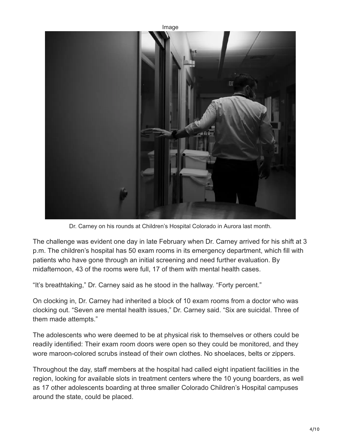

Dr. Carney on his rounds at Children's Hospital Colorado in Aurora last month.

The challenge was evident one day in late February when Dr. Carney arrived for his shift at 3 p.m. The children's hospital has 50 exam rooms in its emergency department, which fill with patients who have gone through an initial screening and need further evaluation. By midafternoon, 43 of the rooms were full, 17 of them with mental health cases.

"It's breathtaking," Dr. Carney said as he stood in the hallway. "Forty percent."

On clocking in, Dr. Carney had inherited a block of 10 exam rooms from a doctor who was clocking out. "Seven are mental health issues," Dr. Carney said. "Six are suicidal. Three of them made attempts."

The adolescents who were deemed to be at physical risk to themselves or others could be readily identified: Their exam room doors were open so they could be monitored, and they wore maroon-colored scrubs instead of their own clothes. No shoelaces, belts or zippers.

Throughout the day, staff members at the hospital had called eight inpatient facilities in the region, looking for available slots in treatment centers where the 10 young boarders, as well as 17 other adolescents boarding at three smaller Colorado Children's Hospital campuses around the state, could be placed.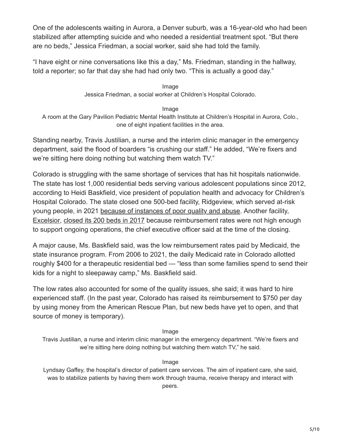One of the adolescents waiting in Aurora, a Denver suburb, was a 16-year-old who had been stabilized after attempting suicide and who needed a residential treatment spot. "But there are no beds," Jessica Friedman, a social worker, said she had told the family.

"I have eight or nine conversations like this a day," Ms. Friedman, standing in the hallway, told a reporter; so far that day she had had only two. "This is actually a good day."

> Image Jessica Friedman, a social worker at Children's Hospital Colorado.

Image A room at the Gary Pavilion Pediatric Mental Health Institute at Children's Hospital in Aurora, Colo., one of eight inpatient facilities in the area.

Standing nearby, Travis Justilian, a nurse and the interim clinic manager in the emergency department, said the flood of boarders "is crushing our staff." He added, "We're fixers and we're sitting here doing nothing but watching them watch TV."

Colorado is struggling with the same shortage of services that has hit hospitals nationwide. The state has lost 1,000 residential beds serving various adolescent populations since 2012, according to Heidi Baskfield, vice president of population health and advocacy for Children's Hospital Colorado. The state closed one 500-bed facility, Ridgeview, which served at-risk young people, in 2021 [because of instances of poor quality and abuse](https://denver.cbslocal.com/2021/06/30/ridge-view-youth-services-closes-violations/). Another facility, [Excelsior,](http://www.excelsiorcares.org/) [closed its 200 beds in 2017](https://apnews.com/article/8c4d9f0749ecc1d17ad7ed00b9a2e594) because reimbursement rates were not high enough to support ongoing operations, the chief executive officer said at the time of the closing.

A major cause, Ms. Baskfield said, was the low reimbursement rates paid by Medicaid, the state insurance program. From 2006 to 2021, the daily Medicaid rate in Colorado allotted roughly \$400 for a therapeutic residential bed — "less than some families spend to send their kids for a night to sleepaway camp," Ms. Baskfield said.

The low rates also accounted for some of the quality issues, she said; it was hard to hire experienced staff. (In the past year, Colorado has raised its reimbursement to \$750 per day by using money from the American Rescue Plan, but new beds have yet to open, and that source of money is temporary).

### Image

Travis Justilian, a nurse and interim clinic manager in the emergency department. "We're fixers and we're sitting here doing nothing but watching them watch TV," he said.

#### Image

Lyndsay Gaffey, the hospital's director of patient care services. The aim of inpatient care, she said, was to stabilize patients by having them work through trauma, receive therapy and interact with peers.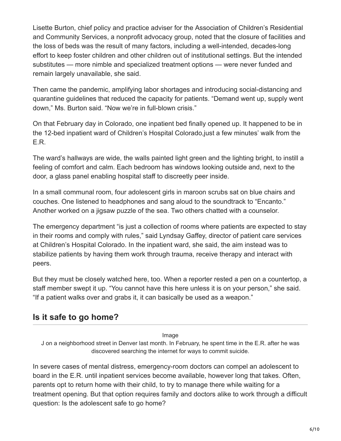Lisette Burton, chief policy and practice adviser for the Association of Children's Residential and Community Services, a nonprofit advocacy group, noted that the closure of facilities and the loss of beds was the result of many factors, including a well-intended, decades-long effort to keep foster children and other children out of institutional settings. But the intended substitutes — more nimble and specialized treatment options — were never funded and remain largely unavailable, she said.

Then came the pandemic, amplifying labor shortages and introducing social-distancing and quarantine guidelines that reduced the capacity for patients. "Demand went up, supply went down," Ms. Burton said. "Now we're in full-blown crisis."

On that February day in Colorado, one inpatient bed finally opened up. It happened to be in the 12-bed inpatient ward of Children's Hospital Colorado,just a few minutes' walk from the E.R.

The ward's hallways are wide, the walls painted light green and the lighting bright, to instill a feeling of comfort and calm. Each bedroom has windows looking outside and, next to the door, a glass panel enabling hospital staff to discreetly peer inside.

In a small communal room, four adolescent girls in maroon scrubs sat on blue chairs and couches. One listened to headphones and sang aloud to the soundtrack to "Encanto." Another worked on a jigsaw puzzle of the sea. Two others chatted with a counselor.

The emergency department "is just a collection of rooms where patients are expected to stay in their rooms and comply with rules," said Lyndsay Gaffey, director of patient care services at Children's Hospital Colorado. In the inpatient ward, she said, the aim instead was to stabilize patients by having them work through trauma, receive therapy and interact with peers.

But they must be closely watched here, too. When a reporter rested a pen on a countertop, a staff member swept it up. "You cannot have this here unless it is on your person," she said. "If a patient walks over and grabs it, it can basically be used as a weapon."

## **Is it safe to go home?**

Image

J on a neighborhood street in Denver last month. In February, he spent time in the E.R. after he was discovered searching the internet for ways to commit suicide.

In severe cases of mental distress, emergency-room doctors can compel an adolescent to board in the E.R. until inpatient services become available, however long that takes. Often, parents opt to return home with their child, to try to manage there while waiting for a treatment opening. But that option requires family and doctors alike to work through a difficult question: Is the adolescent safe to go home?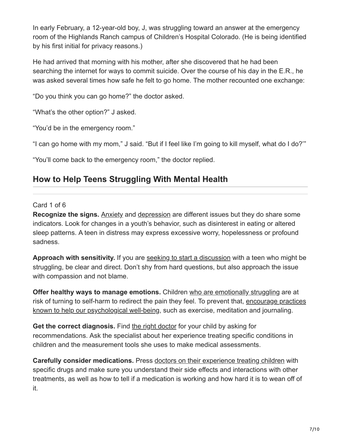In early February, a 12-year-old boy, J, was struggling toward an answer at the emergency room of the Highlands Ranch campus of Children's Hospital Colorado. (He is being identified by his first initial for privacy reasons.)

He had arrived that morning with his mother, after she discovered that he had been searching the internet for ways to commit suicide. Over the course of his day in the E.R., he was asked several times how safe he felt to go home. The mother recounted one exchange:

"Do you think you can go home?" the doctor asked.

"What's the other option?" J asked.

"You'd be in the emergency room."

"I can go home with my mom," J said. "But if I feel like I'm going to kill myself, what do I do?'"

"You'll come back to the emergency room," the doctor replied.

### **How to Help Teens Struggling With Mental Health**

### Card 1 of 6

**Recognize the signs.** [Anxiety](https://www.nytimes.com/2021/03/25/well/family/teen-anxiety-myths.html?action=click&pgtype=Article&state=default&module=styln-mental-health-package&variant=show®ion=MAIN_CONTENT_3&block=storyline_levelup_swipe_recirc) and [depression](https://www.nytimes.com/2022/03/23/magazine/mental-health-crisis-kids.html?action=click&pgtype=Article&state=default&module=styln-mental-health-package&variant=show®ion=MAIN_CONTENT_3&block=storyline_levelup_swipe_recirc) are different issues but they do share some indicators. Look for changes in a youth's behavior, such as disinterest in eating or altered sleep patterns. A teen in distress may express excessive worry, hopelessness or profound sadness.

**Approach with sensitivity.** If you are [seeking to start a discussion](https://www.nytimes.com/2021/05/06/well/family/parents-teenagers-staying-at-home-coronavirus-pandemic.html?action=click&pgtype=Article&state=default&module=styln-mental-health-package&variant=show®ion=MAIN_CONTENT_3&block=storyline_levelup_swipe_recirc) with a teen who might be struggling, be clear and direct. Don't shy from hard questions, but also approach the issue with compassion and not blame.

**Offer healthy ways to manage emotions.** Children [who are emotionally struggling](https://www.nytimes.com/2020/04/21/well/family/coronavirus-teenagers-uncomfortable-emotions.html?action=click&pgtype=Article&state=default&module=styln-mental-health-package&variant=show®ion=MAIN_CONTENT_3&block=storyline_levelup_swipe_recirc) are at [risk of turning to self-harm to redirect the pain they feel. To prevent that, encourage practices](https://www.nytimes.com/2021/05/18/well/family/teenagers-pandemic.html?action=click&pgtype=Article&state=default&module=styln-mental-health-package&variant=show®ion=MAIN_CONTENT_3&block=storyline_levelup_swipe_recirc) known to help our psychological well-being, such as exercise, meditation and journaling.

**Get the correct diagnosis.** Find [the right doctor](https://www.nytimes.com/2021/02/23/health/coronavirus-mental-health-teens.html?action=click&pgtype=Article&state=default&module=styln-mental-health-package&variant=show®ion=MAIN_CONTENT_3&block=storyline_levelup_swipe_recirc) for your child by asking for recommendations. Ask the specialist about her experience treating specific conditions in children and the measurement tools she uses to make medical assessments.

**Carefully consider medications.** Press [doctors on their experience treating children](https://www.nytimes.com/interactive/2021/12/16/well/mental-health-crisis-america-covid.html?action=click&pgtype=Article&state=default&module=styln-mental-health-package&variant=show®ion=MAIN_CONTENT_3&block=storyline_levelup_swipe_recirc) with specific drugs and make sure you understand their side effects and interactions with other treatments, as well as how to tell if a medication is working and how hard it is to wean off of it.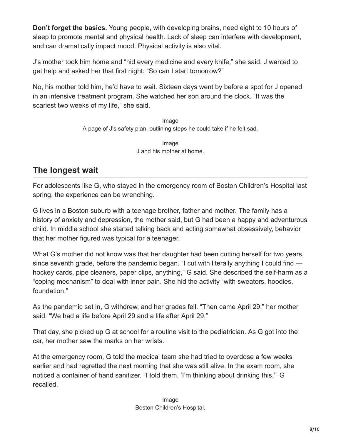**Don't forget the basics.** Young people, with developing brains, need eight to 10 hours of sleep to promote [mental and physical health.](https://www.nytimes.com/2020/09/29/well/family/teenagers-emotional-well-being-pandemic.html?action=click&pgtype=Article&state=default&module=styln-mental-health-package&variant=show®ion=MAIN_CONTENT_3&block=storyline_levelup_swipe_recirc) Lack of sleep can interfere with development, and can dramatically impact mood. Physical activity is also vital.

J's mother took him home and "hid every medicine and every knife," she said. J wanted to get help and asked her that first night: "So can I start tomorrow?"

No, his mother told him, he'd have to wait. Sixteen days went by before a spot for J opened in an intensive treatment program. She watched her son around the clock. "It was the scariest two weeks of my life," she said.

> Image A page of J's safety plan, outlining steps he could take if he felt sad.

> > Image J and his mother at home.

### **The longest wait**

For adolescents like G, who stayed in the emergency room of Boston Children's Hospital last spring, the experience can be wrenching.

G lives in a Boston suburb with a teenage brother, father and mother. The family has a history of anxiety and depression, the mother said, but G had been a happy and adventurous child. In middle school she started talking back and acting somewhat obsessively, behavior that her mother figured was typical for a teenager.

What G's mother did not know was that her daughter had been cutting herself for two years, since seventh grade, before the pandemic began. "I cut with literally anything I could find hockey cards, pipe cleaners, paper clips, anything," G said. She described the self-harm as a "coping mechanism" to deal with inner pain. She hid the activity "with sweaters, hoodies, foundation."

As the pandemic set in, G withdrew, and her grades fell. "Then came April 29," her mother said. "We had a life before April 29 and a life after April 29."

That day, she picked up G at school for a routine visit to the pediatrician. As G got into the car, her mother saw the marks on her wrists.

At the emergency room, G told the medical team she had tried to overdose a few weeks earlier and had regretted the next morning that she was still alive. In the exam room, she noticed a container of hand sanitizer. "I told them, 'I'm thinking about drinking this,'" G recalled.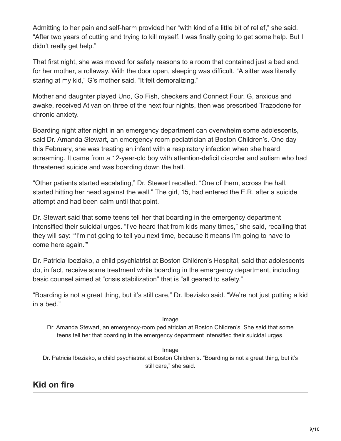Admitting to her pain and self-harm provided her "with kind of a little bit of relief," she said. "After two years of cutting and trying to kill myself, I was finally going to get some help. But I didn't really get help."

That first night, she was moved for safety reasons to a room that contained just a bed and, for her mother, a rollaway. With the door open, sleeping was difficult. "A sitter was literally staring at my kid," G's mother said. "It felt demoralizing."

Mother and daughter played Uno, Go Fish, checkers and Connect Four. G, anxious and awake, received Ativan on three of the next four nights, then was prescribed Trazodone for chronic anxiety.

Boarding night after night in an emergency department can overwhelm some adolescents, said Dr. Amanda Stewart, an emergency room pediatrician at Boston Children's. One day this February, she was treating an infant with a respiratory infection when she heard screaming. It came from a 12-year-old boy with attention-deficit disorder and autism who had threatened suicide and was boarding down the hall.

"Other patients started escalating," Dr. Stewart recalled. "One of them, across the hall, started hitting her head against the wall." The girl, 15, had entered the E.R. after a suicide attempt and had been calm until that point.

Dr. Stewart said that some teens tell her that boarding in the emergency department intensified their suicidal urges. "I've heard that from kids many times," she said, recalling that they will say: "'I'm not going to tell you next time, because it means I'm going to have to come here again.'"

Dr. Patricia Ibeziako, a child psychiatrist at Boston Children's Hospital, said that adolescents do, in fact, receive some treatment while boarding in the emergency department, including basic counsel aimed at "crisis stabilization" that is "all geared to safety."

"Boarding is not a great thing, but it's still care," Dr. Ibeziako said. "We're not just putting a kid in a bed."

### Image

Dr. Amanda Stewart, an emergency-room pediatrician at Boston Children's. She said that some teens tell her that boarding in the emergency department intensified their suicidal urges.

### Image

Dr. Patricia Ibeziako, a child psychiatrist at Boston Children's. "Boarding is not a great thing, but it's still care," she said.

### **Kid on fire**